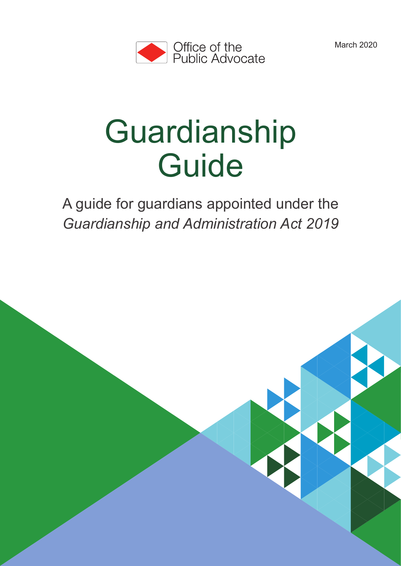March 2020

Guardianship Guide 1



# Guardianship **Guide**

A guide for guardians appointed under the *Guardianship and Administration Act 2019*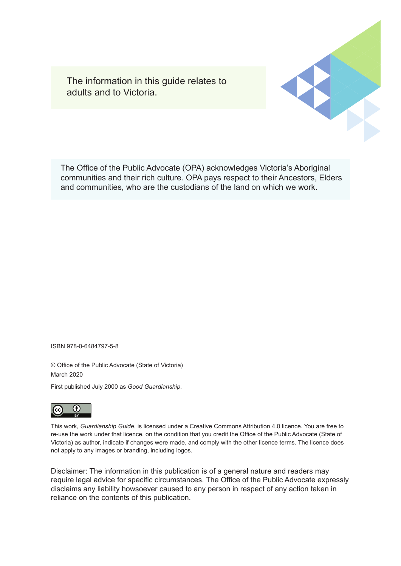The information in this guide relates to adults and to Victoria.

The Office of the Public Advocate (OPA) acknowledges Victoria's Aboriginal communities and their rich culture. OPA pays respect to their Ancestors, Elders and communities, who are the custodians of the land on which we work.

ISBN 978-0-6484797-5-8

© Office of the Public Advocate (State of Victoria) March 2020

First published July 2000 as *Good Guardianship*.



This work, *Guardianship Guide*, is licensed under a Creative Commons Attribution 4.0 licence. You are free to re-use the work under that licence, on the condition that you credit the Office of the Public Advocate (State of Victoria) as author, indicate if changes were made, and comply with the other licence terms. The licence does not apply to any images or branding, including logos.

Disclaimer: The information in this publication is of a general nature and readers may require legal advice for specific circumstances. The Office of the Public Advocate expressly disclaims any liability howsoever caused to any person in respect of any action taken in reliance on the contents of this publication.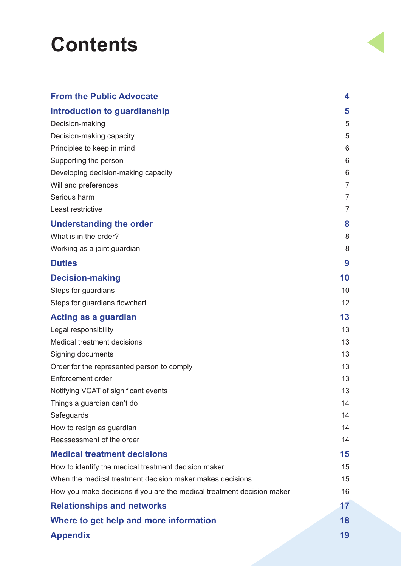## **Contents**

| <b>From the Public Advocate</b>                                        | 4              |
|------------------------------------------------------------------------|----------------|
| <b>Introduction to guardianship</b>                                    | 5              |
| Decision-making                                                        | 5              |
| Decision-making capacity                                               | 5              |
| Principles to keep in mind                                             | 6              |
| Supporting the person                                                  | 6              |
| Developing decision-making capacity                                    | 6              |
| Will and preferences                                                   | $\overline{7}$ |
| Serious harm                                                           | 7              |
| Least restrictive                                                      | $\overline{7}$ |
| <b>Understanding the order</b>                                         | 8              |
| What is in the order?                                                  | 8              |
| Working as a joint guardian                                            | 8              |
| <b>Duties</b>                                                          | 9              |
| <b>Decision-making</b>                                                 | 10             |
| Steps for guardians                                                    | 10             |
| Steps for guardians flowchart                                          | 12             |
| Acting as a guardian                                                   | 13             |
| Legal responsibility                                                   | 13             |
| <b>Medical treatment decisions</b>                                     | 13             |
| Signing documents                                                      | 13             |
| Order for the represented person to comply                             | 13             |
| <b>Enforcement order</b>                                               | 13             |
| Notifying VCAT of significant events                                   | 13             |
| Things a guardian can't do                                             | 14             |
| Safeguards                                                             | 14             |
| How to resign as guardian                                              | 14             |
| Reassessment of the order                                              | 14             |
| <b>Medical treatment decisions</b>                                     | 15             |
| How to identify the medical treatment decision maker                   | 15             |
| When the medical treatment decision maker makes decisions              | 15             |
| How you make decisions if you are the medical treatment decision maker | 16             |
| <b>Relationships and networks</b>                                      | 17             |
| Where to get help and more information                                 | 18             |
| <b>Appendix</b>                                                        | 19             |
|                                                                        |                |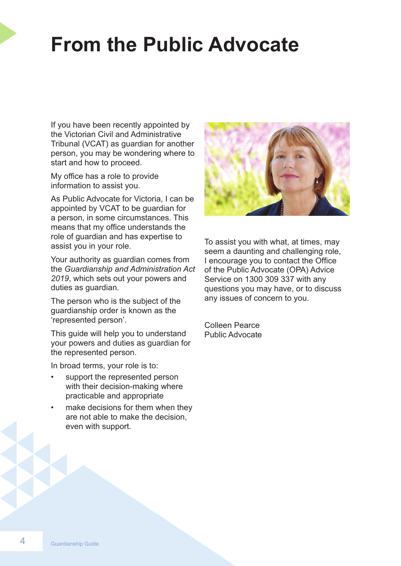## **From the Public Advocate**

If you have been recently appointed by the Victorian Civil and Administrative Tribunal (VCAT) as guardian for another person, you may be wondering where to start and how to proceed.

My office has a role to provide information to assist you.

As Public Advocate for Victoria, I can be appointed by VCAT to be guardian for a person, in some circumstances. This means that my office understands the role of guardian and has expertise to assist you in your role.

Your authority as guardian comes from the *Guardianship and Administration Act 2019*, which sets out your powers and duties as guardian.

The person who is the subject of the guardianship order is known as the 'represented person'.

This guide will help you to understand your powers and duties as guardian for the represented person.

In broad terms, your role is to:

- support the represented person with their decision-making where practicable and appropriate
- make decisions for them when they are not able to make the decision, even with support.



To assist you with what, at times, may seem a daunting and challenging role, I encourage you to contact the Office of the Public Advocate (OPA) Advice Service on 1300 309 337 with any questions you may have, or to discuss any issues of concern to you.

Colleen Pearce Public Advocate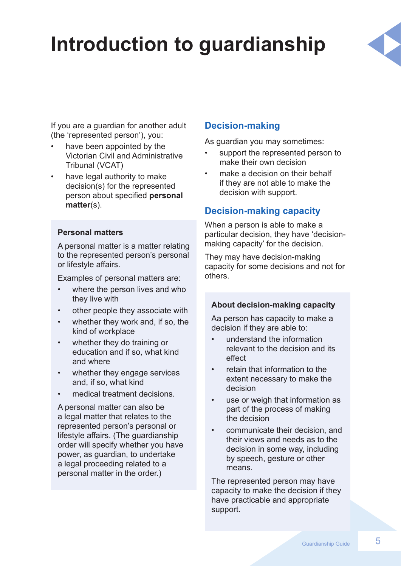## **Introduction to guardianship**



If you are a guardian for another adult (the 'represented person'), you:

- have been appointed by the Victorian Civil and Administrative Tribunal (VCAT)
- have legal authority to make decision(s) for the represented person about specified **personal matter**(s).

#### **Personal matters**

A personal matter is a matter relating to the represented person's personal or lifestyle affairs.

Examples of personal matters are:

- where the person lives and who they live with
- other people they associate with
- whether they work and, if so, the kind of workplace
- whether they do training or education and if so, what kind and where
- whether they engage services and, if so, what kind
- medical treatment decisions.

A personal matter can also be a legal matter that relates to the represented person's personal or lifestyle affairs. (The guardianship order will specify whether you have power, as guardian, to undertake a legal proceeding related to a personal matter in the order.)

## **Decision-making**

As guardian you may sometimes:

- support the represented person to make their own decision
- make a decision on their behalf if they are not able to make the decision with support.

### **Decision-making capacity**

When a person is able to make a particular decision, they have 'decisionmaking capacity' for the decision.

They may have decision-making capacity for some decisions and not for others.

#### **About decision-making capacity**

Aa person has capacity to make a decision if they are able to:

- understand the information relevant to the decision and its effect
- retain that information to the extent necessary to make the decision
- use or weigh that information as part of the process of making the decision
- communicate their decision, and their views and needs as to the decision in some way, including by speech, gesture or other means.

The represented person may have capacity to make the decision if they have practicable and appropriate support.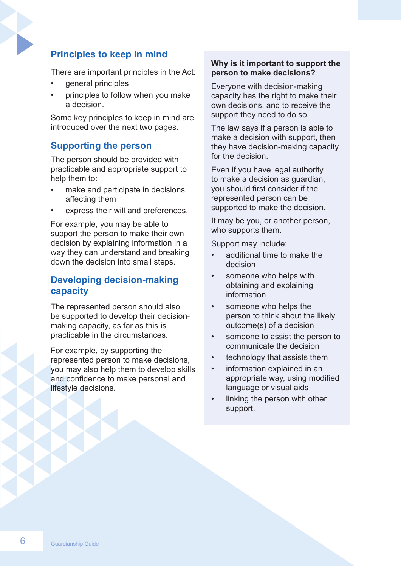## **Principles to keep in mind**

There are important principles in the Act:

- general principles
- principles to follow when you make a decision.

Some key principles to keep in mind are introduced over the next two pages.

### **Supporting the person**

The person should be provided with practicable and appropriate support to help them to:

- make and participate in decisions affecting them
- express their will and preferences.

For example, you may be able to support the person to make their own decision by explaining information in a way they can understand and breaking down the decision into small steps.

#### **Developing decision-making capacity**

The represented person should also be supported to develop their decisionmaking capacity, as far as this is practicable in the circumstances.

For example, by supporting the represented person to make decisions, you may also help them to develop skills and confidence to make personal and lifestyle decisions.

#### **Why is it important to support the person to make decisions?**

Everyone with decision-making capacity has the right to make their own decisions, and to receive the support they need to do so.

The law says if a person is able to make a decision with support, then they have decision-making capacity for the decision.

Even if you have legal authority to make a decision as guardian, you should first consider if the represented person can be supported to make the decision.

It may be you, or another person, who supports them.

Support may include:

- additional time to make the decision
- someone who helps with obtaining and explaining information
- someone who helps the person to think about the likely outcome(s) of a decision
- someone to assist the person to communicate the decision
- technology that assists them
- information explained in an appropriate way, using modified language or visual aids
- linking the person with other support.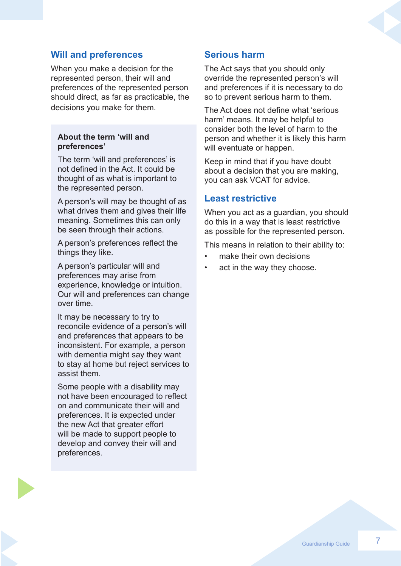### **Will and preferences**

When you make a decision for the represented person, their will and preferences of the represented person should direct, as far as practicable, the decisions you make for them.

#### **About the term 'will and preferences'**

The term 'will and preferences' is not defined in the Act. It could be thought of as what is important to the represented person.

A person's will may be thought of as what drives them and gives their life meaning. Sometimes this can only be seen through their actions.

A person's preferences reflect the things they like.

A person's particular will and preferences may arise from experience, knowledge or intuition. Our will and preferences can change over time.

It may be necessary to try to reconcile evidence of a person's will and preferences that appears to be inconsistent. For example, a person with dementia might say they want to stay at home but reject services to assist them.

Some people with a disability may not have been encouraged to reflect on and communicate their will and preferences. It is expected under the new Act that greater effort will be made to support people to develop and convey their will and preferences.

#### **Serious harm**

The Act says that you should only override the represented person's will and preferences if it is necessary to do so to prevent serious harm to them.

The Act does not define what 'serious harm' means. It may be helpful to consider both the level of harm to the person and whether it is likely this harm will eventuate or happen.

Keep in mind that if you have doubt about a decision that you are making, you can ask VCAT for advice.

#### **Least restrictive**

When you act as a guardian, you should do this in a way that is least restrictive as possible for the represented person.

This means in relation to their ability to:

- make their own decisions
- act in the way they choose.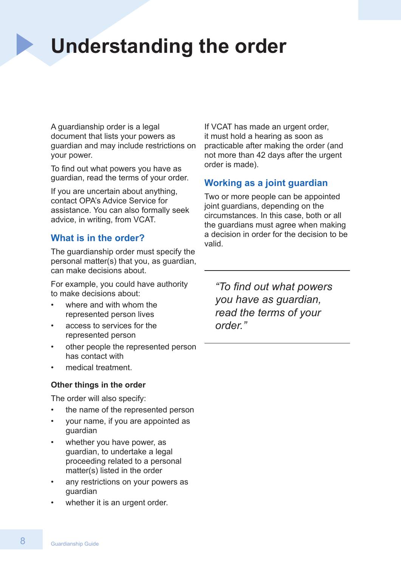## **Understanding the order**

A guardianship order is a legal document that lists your powers as guardian and may include restrictions on your power.

To find out what powers you have as guardian, read the terms of your order.

If you are uncertain about anything, contact OPA's Advice Service for assistance. You can also formally seek advice, in writing, from VCAT.

### **What is in the order?**

The guardianship order must specify the personal matter(s) that you, as guardian, can make decisions about.

For example, you could have authority to make decisions about:

- where and with whom the represented person lives
- access to services for the represented person
- other people the represented person has contact with
- medical treatment.

#### **Other things in the order**

The order will also specify:

- the name of the represented person
- your name, if you are appointed as guardian
- whether you have power, as guardian, to undertake a legal proceeding related to a personal matter(s) listed in the order
- any restrictions on your powers as guardian
- whether it is an urgent order.

If VCAT has made an urgent order, it must hold a hearing as soon as practicable after making the order (and not more than 42 days after the urgent order is made).

## **Working as a joint guardian**

Two or more people can be appointed joint guardians, depending on the circumstances. In this case, both or all the guardians must agree when making a decision in order for the decision to be valid.

*"To find out what powers you have as guardian, read the terms of your order."*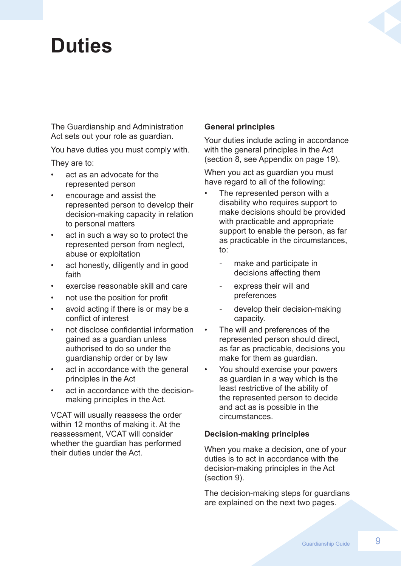## **Duties**

The Guardianship and Administration Act sets out your role as guardian.

You have duties you must comply with.

They are to:

- act as an advocate for the represented person
- encourage and assist the represented person to develop their decision-making capacity in relation to personal matters
- act in such a way so to protect the represented person from neglect, abuse or exploitation
- act honestly, diligently and in good faith
- exercise reasonable skill and care
- not use the position for profit
- avoid acting if there is or may be a conflict of interest
- not disclose confidential information gained as a guardian unless authorised to do so under the guardianship order or by law
- act in accordance with the general principles in the Act
- act in accordance with the decisionmaking principles in the Act.

VCAT will usually reassess the order within 12 months of making it. At the reassessment, VCAT will consider whether the guardian has performed their duties under the Act.

#### **General principles**

Your duties include acting in accordance with the general principles in the Act (section 8, see Appendix on page 19).

When you act as guardian you must have regard to all of the following:

- The represented person with a disability who requires support to make decisions should be provided with practicable and appropriate support to enable the person, as far as practicable in the circumstances, to:
	- make and participate in decisions affecting them
	- express their will and preferences
	- develop their decision-making capacity.
- The will and preferences of the represented person should direct, as far as practicable, decisions you make for them as guardian.
- You should exercise your powers as guardian in a way which is the least restrictive of the ability of the represented person to decide and act as is possible in the circumstances.

#### **Decision-making principles**

When you make a decision, one of your duties is to act in accordance with the decision-making principles in the Act (section 9).

The decision-making steps for guardians are explained on the next two pages.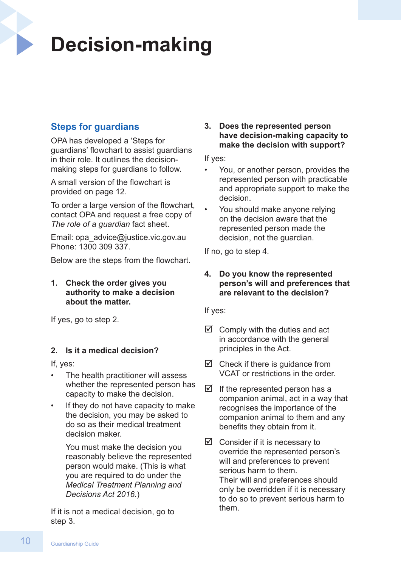## **Decision-making**

## **Steps for guardians**

OPA has developed a 'Steps for guardians' flowchart to assist guardians in their role. It outlines the decisionmaking steps for guardians to follow.

A small version of the flowchart is provided on page 12.

To order a large version of the flowchart, contact OPA and request a free copy of *The role of a guardian* fact sheet.

Email: opa\_advice@justice.vic.gov.au Phone: 1300 309 337.

Below are the steps from the flowchart.

**1. Check the order gives you authority to make a decision about the matter.**

If yes, go to step 2.

#### **2. Is it a medical decision?**

If, yes:

- The health practitioner will assess whether the represented person has capacity to make the decision.
- If they do not have capacity to make the decision, you may be asked to do so as their medical treatment decision maker.

You must make the decision you reasonably believe the represented person would make. (This is what you are required to do under the *Medical Treatment Planning and Decisions Act 2016*.)

If it is not a medical decision, go to step 3.

**3. Does the represented person have decision-making capacity to make the decision with support?**

If yes:

- You, or another person, provides the represented person with practicable and appropriate support to make the decision.
- You should make anyone relying on the decision aware that the represented person made the decision, not the guardian.

If no, go to step 4.

#### **4. Do you know the represented person's will and preferences that are relevant to the decision?**

If yes:

- $\boxtimes$  Comply with the duties and act in accordance with the general principles in the Act.
- $\boxtimes$  Check if there is guidance from VCAT or restrictions in the order.
- $\boxtimes$  If the represented person has a companion animal, act in a way that recognises the importance of the companion animal to them and any benefits they obtain from it.
- $\boxtimes$  Consider if it is necessary to override the represented person's will and preferences to prevent serious harm to them. Their will and preferences should only be overridden if it is necessary to do so to prevent serious harm to them.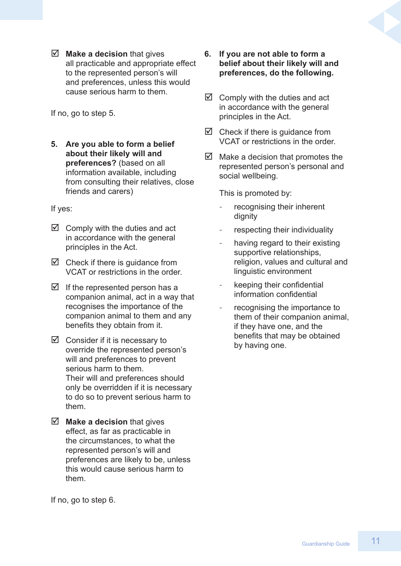$\boxtimes$  **Make a decision** that gives all practicable and appropriate effect to the represented person's will and preferences, unless this would cause serious harm to them.

If no, go to step 5.

**5. Are you able to form a belief about their likely will and preferences?** (based on all information available, including from consulting their relatives, close friends and carers)

If yes:

- $\boxtimes$  Comply with the duties and act in accordance with the general principles in the Act.
- $\boxtimes$  Check if there is guidance from VCAT or restrictions in the order.
- $\boxtimes$  If the represented person has a companion animal, act in a way that recognises the importance of the companion animal to them and any benefits they obtain from it.
- $\boxtimes$  Consider if it is necessary to override the represented person's will and preferences to prevent serious harm to them. Their will and preferences should only be overridden if it is necessary to do so to prevent serious harm to them.
- $\boxed{≤}$  **Make a decision** that gives effect, as far as practicable in the circumstances, to what the represented person's will and preferences are likely to be, unless this would cause serious harm to them.
- **6. If you are not able to form a belief about their likely will and preferences, do the following.**
- $\boxtimes$  Comply with the duties and act in accordance with the general principles in the Act.
- $\boxtimes$  Check if there is guidance from VCAT or restrictions in the order.
- $\boxtimes$  Make a decision that promotes the represented person's personal and social wellbeing.

This is promoted by:

- recognising their inherent dignity
- respecting their individuality
- having regard to their existing supportive relationships, religion, values and cultural and linguistic environment
- keeping their confidential information confidential
- recognising the importance to them of their companion animal, if they have one, and the benefits that may be obtained by having one.

If no, go to step 6.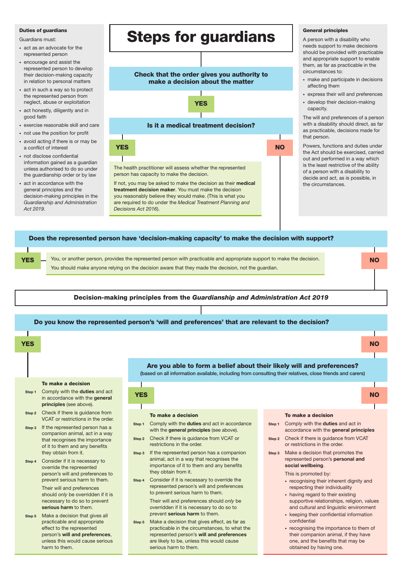#### Duties of guardians

Guardians must:

- act as an advocate for the represented person
- encourage and assist the represented person to develop their decision-making capacity in relation to personal matters
- act in such a way so to protect the represented person from neglect, abuse or exploitation
- act honestly, diligently and in good faith
- exercise reasonable skill and care
- not use the position for profit
- avoid acting if there is or may be a conflict of interest
- not disclose confidential information gained as a guardian unless authorised to do so under the guardianship order or by law
- act in accordance with the general principles and the decision-making principles in the *Guardianship and Administration Act 2019*.



If not, you may be asked to make the decision as their medical treatment decision maker. You must make the decision you reasonably believe they would make. (This is what you are required to do under the *Medical Treatment Planning and Decisions Act 2016*).

#### General principles

A person with a disability who needs support to make decisions should be provided with practicable and appropriate support to enable them, as far as practicable in the circumstances to:

- make and participate in decisions affecting them
- express their will and preferences
- develop their decision-making capacity.

The will and preferences of a person with a disability should direct, as far as practicable, decisions made for that person.

Powers, functions and duties under the Act should be exercised, carried out and performed in a way which is the least restrictive of the ability of a person with a disability to decide and act, as is possible, in the circumstances.



YES



- Step 2 Check if there is guidance from VCAT or restrictions in the order.
- If the represented person has a companion animal, act in a way that recognises the importance of it to them and any benefits they obtain from it. Step 3
- Consider if it is necessary to override the represented person's will and preferences to prevent serious harm to them. Their will and preferences should *only* be overridden if it is necessary to do so to prevent serious harm to them. Step 4
- 12 Guardianship Guardianship Guardianship Guardianship Guardianship Guardianship Guardianship Guardianship Guardianship Guardianship Guardianship Guardianship Guardianship Guardianship Guardianship Guardianship Guardianshi step 5 Make a decision that gives all practicable and appropriate effect to the represented person's will and preferences, harm to them.

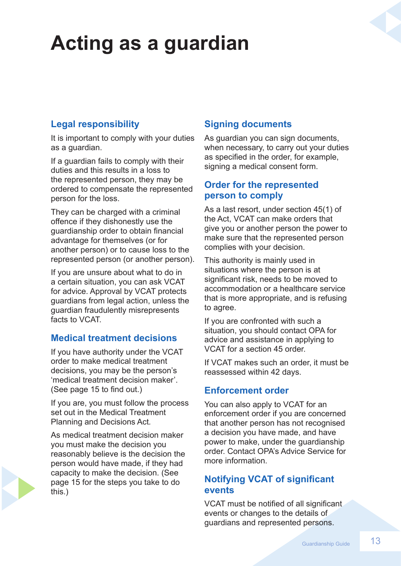## **Acting as a guardian**

## **Legal responsibility**

It is important to comply with your duties as a guardian.

If a guardian fails to comply with their duties and this results in a loss to the represented person, they may be ordered to compensate the represented person for the loss.

They can be charged with a criminal offence if they dishonestly use the guardianship order to obtain financial advantage for themselves (or for another person) or to cause loss to the represented person (or another person).

If you are unsure about what to do in a certain situation, you can ask VCAT for advice. Approval by VCAT protects guardians from legal action, unless the guardian fraudulently misrepresents facts to VCAT.

## **Medical treatment decisions**

If you have authority under the VCAT order to make medical treatment decisions, you may be the person's 'medical treatment decision maker'. (See page 15 to find out.)

If you are, you must follow the process set out in the Medical Treatment Planning and Decisions Act*.* 

As medical treatment decision maker you must make the decision you reasonably believe is the decision the person would have made, if they had capacity to make the decision. (See page 15 for the steps you take to do this.)

## **Signing documents**

As guardian you can sign documents, when necessary, to carry out your duties as specified in the order, for example, signing a medical consent form.

## **Order for the represented person to comply**

As a last resort, under section 45(1) of the Act, VCAT can make orders that give you or another person the power to make sure that the represented person complies with your decision.

This authority is mainly used in situations where the person is at significant risk, needs to be moved to accommodation or a healthcare service that is more appropriate, and is refusing to agree.

If you are confronted with such a situation, you should contact OPA for advice and assistance in applying to VCAT for a section 45 order.

If VCAT makes such an order, it must be reassessed within 42 days.

## **Enforcement order**

You can also apply to VCAT for an enforcement order if you are concerned that another person has not recognised a decision you have made, and have power to make, under the guardianship order. Contact OPA's Advice Service for more information.

## **Notifying VCAT of significant events**

VCAT must be notified of all significant events or changes to the details of guardians and represented persons.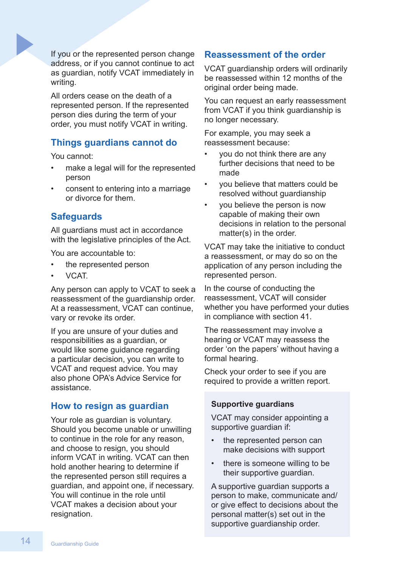If you or the represented person change address, or if you cannot continue to act as guardian, notify VCAT immediately in writing.

All orders cease on the death of a represented person. If the represented person dies during the term of your order, you must notify VCAT in writing.

### **Things guardians cannot do**

You cannot:

- make a legal will for the represented person
- consent to entering into a marriage or divorce for them.

### **Safeguards**

All guardians must act in accordance with the legislative principles of the Act.

You are accountable to:

- the represented person
- VCAT.

Any person can apply to VCAT to seek a reassessment of the guardianship order. At a reassessment, VCAT can continue, vary or revoke its order.

If you are unsure of your duties and responsibilities as a guardian, or would like some guidance regarding a particular decision, you can write to VCAT and request advice. You may also phone OPA's Advice Service for assistance.

#### **How to resign as guardian**

Your role as guardian is voluntary. Should you become unable or unwilling to continue in the role for any reason, and choose to resign, you should inform VCAT in writing. VCAT can then hold another hearing to determine if the represented person still requires a guardian, and appoint one, if necessary. You will continue in the role until VCAT makes a decision about your resignation.

### **Reassessment of the order**

VCAT guardianship orders will ordinarily be reassessed within 12 months of the original order being made.

You can request an early reassessment from VCAT if you think guardianship is no longer necessary.

For example, you may seek a reassessment because:

- you do not think there are any further decisions that need to be made
- you believe that matters could be resolved without guardianship
- you believe the person is now capable of making their own decisions in relation to the personal matter(s) in the order.

VCAT may take the initiative to conduct a reassessment, or may do so on the application of any person including the represented person.

In the course of conducting the reassessment, VCAT will consider whether you have performed your duties in compliance with section 41.

The reassessment may involve a hearing or VCAT may reassess the order 'on the papers' without having a formal hearing.

Check your order to see if you are required to provide a written report.

#### **Supportive guardians**

VCAT may consider appointing a supportive guardian if:

- the represented person can make decisions with support
- there is someone willing to be their supportive guardian.

A supportive guardian supports a person to make, communicate and/ or give effect to decisions about the personal matter(s) set out in the supportive guardianship order.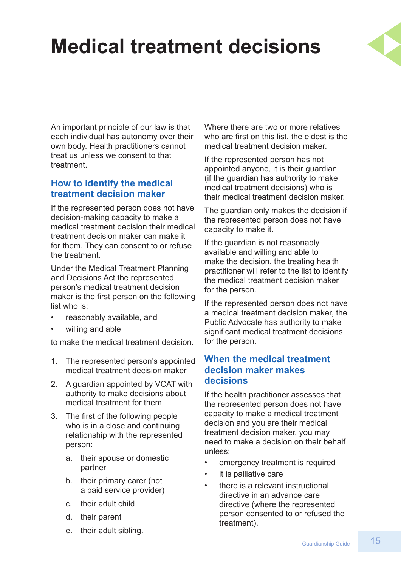## **Medical treatment decisions**



An important principle of our law is that each individual has autonomy over their own body. Health practitioners cannot treat us unless we consent to that treatment.

## **How to identify the medical treatment decision maker**

If the represented person does not have decision-making capacity to make a medical treatment decision their medical treatment decision maker can make it for them. They can consent to or refuse the treatment.

Under the Medical Treatment Planning and Decisions Act the represented person's medical treatment decision maker is the first person on the following list who is:

- reasonably available, and
- willing and able

to make the medical treatment decision.

- 1. The represented person's appointed medical treatment decision maker
- 2. A guardian appointed by VCAT with authority to make decisions about medical treatment for them
- 3. The first of the following people who is in a close and continuing relationship with the represented person:
	- a. their spouse or domestic partner
	- b. their primary carer (not a paid service provider)
	- c. their adult child
	- d. their parent
	- e. their adult sibling.

Where there are two or more relatives who are first on this list, the eldest is the medical treatment decision maker.

If the represented person has not appointed anyone, it is their guardian (if the guardian has authority to make medical treatment decisions) who is their medical treatment decision maker.

The guardian only makes the decision if the represented person does not have capacity to make it.

If the guardian is not reasonably available and willing and able to make the decision, the treating health practitioner will refer to the list to identify the medical treatment decision maker for the person.

If the represented person does not have a medical treatment decision maker, the Public Advocate has authority to make significant medical treatment decisions for the person.

### **When the medical treatment decision maker makes decisions**

If the health practitioner assesses that the represented person does not have capacity to make a medical treatment decision and you are their medical treatment decision maker, you may need to make a decision on their behalf unless:

- emergency treatment is required
- it is palliative care
- there is a relevant instructional directive in an advance care directive (where the represented person consented to or refused the treatment).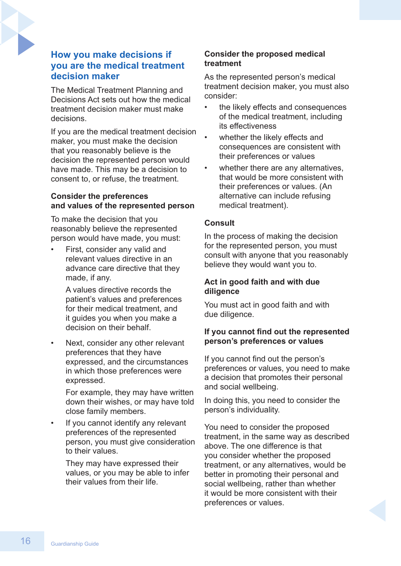### **How you make decisions if you are the medical treatment decision maker**

The Medical Treatment Planning and Decisions Act sets out how the medical treatment decision maker must make decisions.

If you are the medical treatment decision maker, you must make the decision that you reasonably believe is the decision the represented person would have made. This may be a decision to consent to, or refuse, the treatment.

#### **Consider the preferences and values of the represented person**

To make the decision that you reasonably believe the represented person would have made, you must:

First, consider any valid and relevant values directive in an advance care directive that they made, if any.

> A values directive records the patient's values and preferences for their medical treatment, and it guides you when you make a decision on their behalf.

Next, consider any other relevant preferences that they have expressed, and the circumstances in which those preferences were expressed.

For example, they may have written down their wishes, or may have told close family members.

If you cannot identify any relevant preferences of the represented person, you must give consideration to their values.

They may have expressed their values, or you may be able to infer their values from their life.

### **Consider the proposed medical treatment**

As the represented person's medical treatment decision maker, you must also consider:

- the likely effects and consequences of the medical treatment, including its effectiveness
- whether the likely effects and consequences are consistent with their preferences or values
- whether there are any alternatives. that would be more consistent with their preferences or values. (An alternative can include refusing medical treatment).

#### **Consult**

In the process of making the decision for the represented person, you must consult with anyone that you reasonably believe they would want you to.

#### **Act in good faith and with due diligence**

You must act in good faith and with due diligence.

#### **If you cannot find out the represented person's preferences or values**

If you cannot find out the person's preferences or values, you need to make a decision that promotes their personal and social wellbeing.

In doing this, you need to consider the person's individuality.

You need to consider the proposed treatment, in the same way as described above. The one difference is that you consider whether the proposed treatment, or any alternatives, would be better in promoting their personal and social wellbeing, rather than whether it would be more consistent with their preferences or values.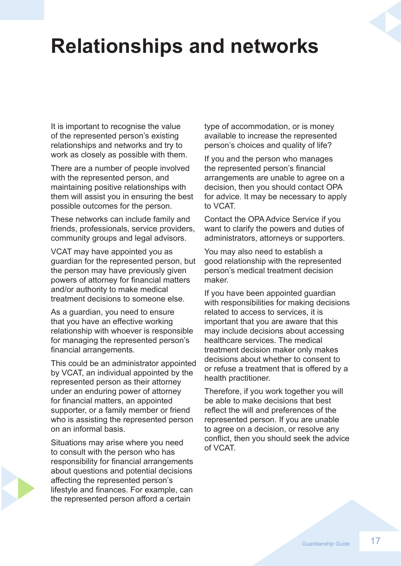## **Relationships and networks**

It is important to recognise the value of the represented person's existing relationships and networks and try to work as closely as possible with them.

There are a number of people involved with the represented person, and maintaining positive relationships with them will assist you in ensuring the best possible outcomes for the person.

These networks can include family and friends, professionals, service providers, community groups and legal advisors.

VCAT may have appointed you as guardian for the represented person, but the person may have previously given powers of attorney for financial matters and/or authority to make medical treatment decisions to someone else.

As a guardian, you need to ensure that you have an effective working relationship with whoever is responsible for managing the represented person's financial arrangements.

This could be an administrator appointed by VCAT, an individual appointed by the represented person as their attorney under an enduring power of attorney for financial matters, an appointed supporter, or a family member or friend who is assisting the represented person on an informal basis.

Situations may arise where you need to consult with the person who has responsibility for financial arrangements about questions and potential decisions affecting the represented person's lifestyle and finances. For example, can the represented person afford a certain

type of accommodation, or is money available to increase the represented person's choices and quality of life?

If you and the person who manages the represented person's financial arrangements are unable to agree on a decision, then you should contact OPA for advice. It may be necessary to apply to VCAT.

Contact the OPA Advice Service if you want to clarify the powers and duties of administrators, attorneys or supporters.

You may also need to establish a good relationship with the represented person's medical treatment decision maker.

If you have been appointed guardian with responsibilities for making decisions related to access to services, it is important that you are aware that this may include decisions about accessing healthcare services. The medical treatment decision maker only makes decisions about whether to consent to or refuse a treatment that is offered by a health practitioner.

Therefore, if you work together you will be able to make decisions that best reflect the will and preferences of the represented person. If you are unable to agree on a decision, or resolve any conflict, then you should seek the advice of VCAT.

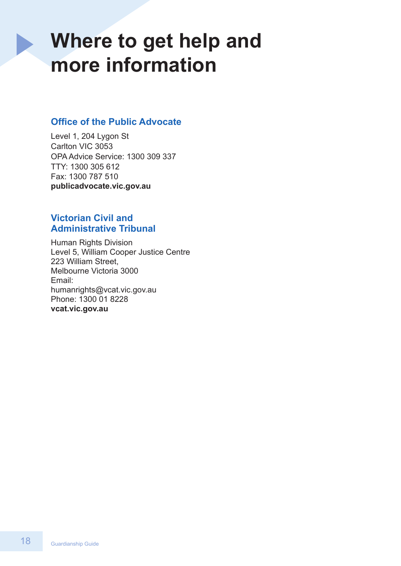## **Where to get help and more information**

## **Office of the Public Advocate**

 $\blacktriangleright$ 

Level 1, 204 Lygon St Carlton VIC 3053 OPA Advice Service: 1300 309 337 TTY: 1300 305 612 Fax: 1300 787 510 **[publicadvocate.vic.gov.au](https://www.publicadvocate.vic.gov.au)** 

## **Victorian Civil and Administrative Tribunal**

Human Rights Division Level 5, William Cooper Justice Centre 223 William Street, Melbourne Victoria 3000 Email: humanrights@vcat.vic.gov.au Phone: 1300 01 8228 **[vcat.vic.gov.au](https://www.vcat.vic.gov.au)**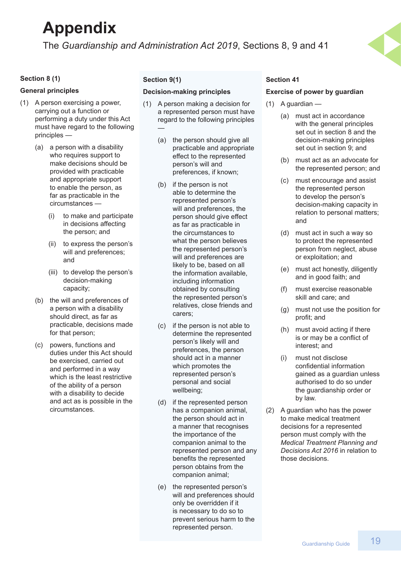## **Appendix**

The *Guardianship and Administration Act 2019*, Sections 8, 9 and 41

#### **Section 8 (1)**

#### **General principles**

- (1) A person exercising a power, carrying out a function or performing a duty under this Act must have regard to the following principles —
	- (a) a person with a disability who requires support to make decisions should be provided with practicable and appropriate support to enable the person, as far as practicable in the circumstances —
		- (i) to make and participate in decisions affecting the person; and
		- (ii) to express the person's will and preferences; and
		- (iii) to develop the person's decision-making capacity;
	- (b) the will and preferences of a person with a disability should direct, as far as practicable, decisions made for that person;
	- (c) powers, functions and duties under this Act should be exercised, carried out and performed in a way which is the least restrictive of the ability of a person with a disability to decide and act as is possible in the circumstances.

#### **Section 9(1)**

#### **Decision-making principles**

- (1) A person making a decision for a represented person must have regard to the following principles —
	- (a) the person should give all practicable and appropriate effect to the represented person's will and preferences, if known;
	- (b) if the person is not able to determine the represented person's will and preferences, the person should give effect as far as practicable in the circumstances to what the person believes the represented person's will and preferences are likely to be, based on all the information available, including information obtained by consulting the represented person's relatives, close friends and carers;
	- (c) if the person is not able to determine the represented person's likely will and preferences, the person should act in a manner which promotes the represented person's personal and social wellbeing;
	- (d) if the represented person has a companion animal, the person should act in a manner that recognises the importance of the companion animal to the represented person and any benefits the represented person obtains from the companion animal;
	- (e) the represented person's will and preferences should only be overridden if it is necessary to do so to prevent serious harm to the represented person.

#### **Section 41**

#### **Exercise of power by guardian**

- (1) A guardian
	- (a) must act in accordance with the general principles set out in section 8 and the decision-making principles set out in section 9; and
	- (b) must act as an advocate for the represented person; and
	- (c) must encourage and assist the represented person to develop the person's decision-making capacity in relation to personal matters; and
	- (d) must act in such a way so to protect the represented person from neglect, abuse or exploitation; and
	- (e) must act honestly, diligently and in good faith; and
	- (f) must exercise reasonable skill and care; and
	- (g) must not use the position for profit; and
	- (h) must avoid acting if there is or may be a conflict of interest; and
	- (i) must not disclose confidential information gained as a guardian unless authorised to do so under the guardianship order or by law.
- (2) A guardian who has the power to make medical treatment decisions for a represented person must comply with the *Medical Treatment Planning and Decisions Act 2016* in relation to those decisions.